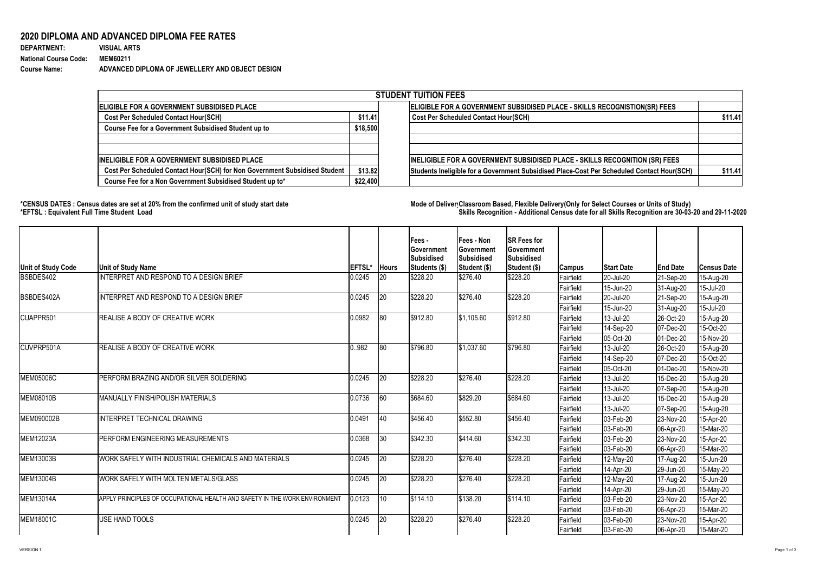VERSION 1 Page 1 of 3

## **2020 DIPLOMA AND ADVANCED DIPLOMA FEE RATES**

| <b>DEPARTMENT:</b>           | <b>VISUAL ARTS</b>                              |
|------------------------------|-------------------------------------------------|
| <b>National Course Code:</b> | <b>MEM60211</b>                                 |
| <b>Course Name:</b>          | ADVANCED DIPLOMA OF JEWELLERY AND OBJECT DESIGN |

## **\*CENSUS DATES : Census dates are set at 20% from the confirmed unit of study start date Mode of DeliveryClassroom Based, Flexible Delivery(Only for Select Courses or Units of Study) \*EFTSL : Equivalent Full Time Student Load Skills Recognition - Additional Census date for all Skills Recognition are 30-03-20 and 29-11-2020**

| <b>STUDENT TUITION FEES</b>                                                |          |                                                                                            |         |  |  |  |  |  |
|----------------------------------------------------------------------------|----------|--------------------------------------------------------------------------------------------|---------|--|--|--|--|--|
| ELIGIBLE FOR A GOVERNMENT SUBSIDISED PLACE                                 |          | ELIGIBLE FOR A GOVERNMENT SUBSIDISED PLACE - SKILLS RECOGNISTION(SR) FEES                  |         |  |  |  |  |  |
| <b>Cost Per Scheduled Contact Hour(SCH)</b>                                | \$11.41  | <b>Cost Per Scheduled Contact Hour(SCH)</b>                                                | \$11.41 |  |  |  |  |  |
| <b>Course Fee for a Government Subsidised Student up to</b>                |          |                                                                                            |         |  |  |  |  |  |
|                                                                            |          |                                                                                            |         |  |  |  |  |  |
| INELIGIBLE FOR A GOVERNMENT SUBSIDISED PLACE                               |          | <b>INELIGIBLE FOR A GOVERNMENT SUBSIDISED PLACE - SKILLS RECOGNITION (SR) FEES</b>         |         |  |  |  |  |  |
| Cost Per Scheduled Contact Hour(SCH) for Non Government Subsidised Student |          | Students Ineligible for a Government Subsidised Place-Cost Per Scheduled Contact Hour(SCH) | \$11.41 |  |  |  |  |  |
| Course Fee for a Non Government Subsidised Student up to*                  | \$22,400 |                                                                                            |         |  |  |  |  |  |

| Unit of Study Code | <b>Unit of Study Name</b>                                                  | <b>EFTSL*</b> | <b>Hours</b> | <b>Fees -</b><br><b>Sovernment</b><br><b>Subsidised</b><br><b>Students (\$)</b> | Fees - Non<br>∣Government<br><b>Subsidised</b><br><b>Student (\$)</b> | <b>SR Fees for</b><br><b>Government</b><br>Subsidised<br>Student (\$) | <b>Campus</b> | <b>Start Date</b> | <b>End Date</b>        | <b>Census Date</b> |
|--------------------|----------------------------------------------------------------------------|---------------|--------------|---------------------------------------------------------------------------------|-----------------------------------------------------------------------|-----------------------------------------------------------------------|---------------|-------------------|------------------------|--------------------|
| BSBDES402          | NTERPRET AND RESPOND TO A DESIGN BRIEF                                     | 0.0245        | 20           | \$228.20                                                                        | \$276.40                                                              | \$228.20                                                              | Fairfield     | 20-Jul-20         | 21-Sep-20              | 15-Aug-20          |
|                    |                                                                            |               |              |                                                                                 |                                                                       |                                                                       | Fairfield     | 15-Jun-20         | 31-Aug-20              | 15-Jul-20          |
| BSBDES402A         | NTERPRET AND RESPOND TO A DESIGN BRIEF                                     | 0.0245        | 20           | \$228.20                                                                        | \$276.40                                                              | \$228.20                                                              | Fairfield     | 20-Jul-20         | 21-Sep-20              | 15-Aug-20          |
|                    |                                                                            |               |              |                                                                                 |                                                                       |                                                                       | Fairfield     | 15-Jun-20         | $ 31-Aug-20 $          | 15-Jul-20          |
| CUAPPR501          | <b>REALISE A BODY OF CREATIVE WORK</b>                                     | 0.0982        | 80           | \$912.80                                                                        | \$1,105.60                                                            | \$912.80                                                              | Fairfield     | 13-Jul-20         | 26-Oct-20              | 15-Aug-20          |
|                    |                                                                            |               |              |                                                                                 |                                                                       |                                                                       | Fairfield     | 14-Sep-20         | 07-Dec-20              | 15-Oct-20          |
|                    |                                                                            |               |              |                                                                                 |                                                                       |                                                                       | Fairfield     | 05-Oct-20         | 01-Dec-20              | 15-Nov-20          |
| <b>CUVPRP501A</b>  | REALISE A BODY OF CREATIVE WORK                                            | 0.982         | 80           | \$796.80                                                                        | \$1,037.60                                                            | \$796.80                                                              | Fairfield     | 13-Jul-20         | 26-Oct-20              | 15-Aug-20          |
|                    |                                                                            |               |              |                                                                                 |                                                                       |                                                                       | Fairfield     | 14-Sep-20         | 07-Dec-20              | 15-Oct-20          |
|                    |                                                                            |               |              |                                                                                 |                                                                       |                                                                       | Fairfield     | 05-Oct-20         | 01-Dec-20              | 15-Nov-20          |
| <b>IMEM05006C</b>  | PERFORM BRAZING AND/OR SILVER SOLDERING                                    | 0.0245        | 20           | \$228.20                                                                        | \$276.40                                                              | \$228.20                                                              | Fairfield     | 13-Jul-20         | 15-Dec-20              | 15-Aug-20          |
|                    |                                                                            |               |              |                                                                                 |                                                                       |                                                                       | Fairfield     | 13-Jul-20         | 07-Sep-20              | 15-Aug-20          |
| MEM08010B          | <b>MANUALLY FINISH/POLISH MATERIALS</b>                                    | 0.0736        | 60           | \$684.60                                                                        | \$829.20                                                              | \$684.60                                                              | Fairfield     | 13-Jul-20         | 15-Dec-20              | 15-Aug-20          |
|                    |                                                                            |               |              |                                                                                 |                                                                       |                                                                       | Fairfield     | 13-Jul-20         | $ 07 - \text{Sep-}20 $ | 15-Aug-20          |
| MEM090002B         | INTERPRET TECHNICAL DRAWING                                                | 0.0491        | 40           | \$456.40                                                                        | \$552.80                                                              | \$456.40                                                              | Fairfield     | 03-Feb-20         | 23-Nov-20              | 15-Apr-20          |
|                    |                                                                            |               |              |                                                                                 |                                                                       |                                                                       | Fairfield     | 03-Feb-20         | 06-Apr-20              | 15-Mar-20          |
| <b>MEM12023A</b>   | PERFORM ENGINEERING MEASUREMENTS                                           | 0.0368        | 30           | \$342.30                                                                        | \$414.60                                                              | \$342.30                                                              | Fairfield     | 03-Feb-20         | 23-Nov-20              | 15-Apr-20          |
|                    |                                                                            |               |              |                                                                                 |                                                                       |                                                                       | Fairfield     | 03-Feb-20         | 06-Apr-20              | 15-Mar-20          |
| <b>MEM13003B</b>   | WORK SAFELY WITH INDUSTRIAL CHEMICALS AND MATERIALS                        | 0.0245        | 20           | \$228.20                                                                        | \$276.40                                                              | \$228.20                                                              | Fairfield     | $12$ -May-20      | 17-Aug-20              | 15-Jun-20          |
|                    |                                                                            |               |              |                                                                                 |                                                                       |                                                                       | Fairfield     | 14-Apr-20         | 29-Jun-20              | 15-May-20          |
| MEM13004B          | WORK SAFELY WITH MOLTEN METALS/GLASS                                       | 0.0245        | 20           | \$228.20                                                                        | \$276.40                                                              | \$228.20                                                              | Fairfield     | 12-May-20         | 17-Aug-20              | 15-Jun-20          |
|                    |                                                                            |               |              |                                                                                 |                                                                       |                                                                       | Fairfield     | 14-Apr-20         | 29-Jun-20              | 15-May-20          |
| <b>MEM13014A</b>   | APPLY PRINCIPLES OF OCCUPATIONAL HEALTH AND SAFETY IN THE WORK ENVIRONMENT | 0.0123        | $\vert$ 10   | \$114.10                                                                        | \$138.20                                                              | \$114.10                                                              | Fairfield     | 03-Feb-20         | 23-Nov-20              | 15-Apr-20          |
|                    |                                                                            |               |              |                                                                                 |                                                                       |                                                                       | Fairfield     | 03-Feb-20         | 06-Apr-20              | 15-Mar-20          |
| <b>IMEM18001C</b>  | <b>JSE HAND TOOLS</b>                                                      | 0.0245        | 20           | \$228.20                                                                        | \$276.40                                                              | \$228.20                                                              | Fairfield     | 03-Feb-20         | 23-Nov-20              | 15-Apr-20          |
|                    |                                                                            |               |              |                                                                                 |                                                                       |                                                                       | Fairfield     | 03-Feb-20         | 06-Apr-20              | 15-Mar-20          |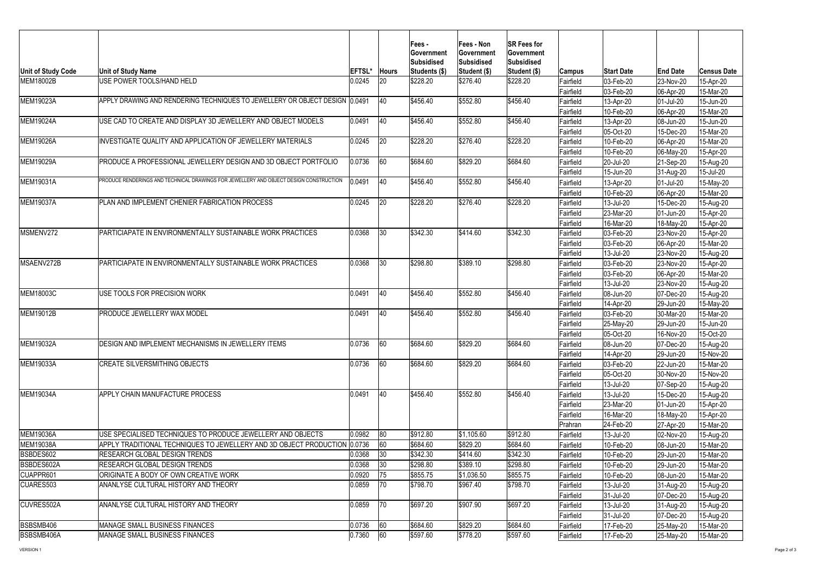VERSION 1 Page 2 of 3

| Unit of Study Code | <b>Unit of Study Name</b>                                                              | <b>EFTSL*</b> | <b>Hours</b> | Fees -<br><b>Government</b><br><b>Subsidised</b><br><b>Students (\$)</b> | Fees - Non<br><b>Government</b><br><b>Subsidised</b><br><b>Student (\$)</b> | <b>SR Fees for</b><br>∣Government<br><b>Subsidised</b><br><b>Student (\$)</b> | <b>Campus</b>    | <b>Start Date</b> | <b>End Date</b>        | ∣Census Date  |
|--------------------|----------------------------------------------------------------------------------------|---------------|--------------|--------------------------------------------------------------------------|-----------------------------------------------------------------------------|-------------------------------------------------------------------------------|------------------|-------------------|------------------------|---------------|
| <b>IMEM18002B</b>  | USE POWER TOOLS/HAND HELD                                                              | 0.0245        | 20           | \$228.20                                                                 | \$276.40                                                                    | \$228.20                                                                      | Fairfield        | 03-Feb-20         | 23-Nov-20              | 15-Apr-20     |
|                    |                                                                                        |               |              |                                                                          |                                                                             |                                                                               | Fairfield        | 03-Feb-20         | 06-Apr-20              | 15-Mar-20     |
| MEM19023A          | APPLY DRAWING AND RENDERING TECHNIQUES TO JEWELLERY OR OBJECT DESIGN (0.0491           |               | 40           | \$456.40                                                                 | \$552.80                                                                    | \$456.40                                                                      | Fairfield        | 13-Apr-20         | 01-Jul-20              | 15-Jun-20     |
|                    |                                                                                        |               |              |                                                                          |                                                                             |                                                                               | Fairfield        | 10-Feb-20         | 06-Apr-20              | 15-Mar-20     |
| <b>MEM19024A</b>   | USE CAD TO CREATE AND DISPLAY 3D JEWELLERY AND OBJECT MODELS                           | 0.0491        | <b>40</b>    | \$456.40                                                                 | \$552.80                                                                    | \$456.40                                                                      | Fairfield        | 13-Apr-20         | 08-Jun-20              | 15-Jun-20     |
|                    |                                                                                        |               |              |                                                                          |                                                                             |                                                                               | Fairfield        | 05-Oct-20         | 15-Dec-20              | 15-Mar-20     |
| <b>MEM19026A</b>   | INVESTIGATE QUALITY AND APPLICATION OF JEWELLERY MATERIALS                             | 0.0245        | 20           | \$228.20                                                                 | \$276.40                                                                    | \$228.20                                                                      | Fairfield        | 10-Feb-20         | 06-Apr-20              | 15-Mar-20     |
|                    |                                                                                        |               |              |                                                                          |                                                                             |                                                                               | Fairfield        | 10-Feb-20         | 06-May-20              | 15-Apr-20     |
| MEM19029A          | PRODUCE A PROFESSIONAL JEWELLERY DESIGN AND 3D OBJECT PORTFOLIO                        | 0.0736        | 60           | \$684.60                                                                 | \$829.20                                                                    | \$684.60                                                                      | Fairfield        | 20-Jul-20         | $ 21-Sep-20 $          | 15-Aug-20     |
|                    |                                                                                        |               |              |                                                                          |                                                                             |                                                                               | Fairfield        | 15-Jun-20         | 31-Aug-20              | 15-Jul-20     |
| MEM19031A          | PRODUCE RENDERINGS AND TECHNICAL DRAWINGS FOR JEWELLERY AND OBJECT DESIGN CONSTRUCTION | 0.0491        | 40           | \$456.40                                                                 | \$552.80                                                                    | \$456.40                                                                      | Fairfield        | 13-Apr-20         | 01-Jul-20              | 15-May-20     |
|                    |                                                                                        |               |              |                                                                          |                                                                             |                                                                               | Fairfield        | 10-Feb-20         | 06-Apr-20              | 15-Mar-20     |
| <b>MEM19037A</b>   | PLAN AND IMPLEMENT CHENIER FABRICATION PROCESS                                         | 0.0245        | 20           | \$228.20                                                                 | \$276.40                                                                    | \$228.20                                                                      | Fairfield        | 13-Jul-20         | 15-Dec-20              | 15-Aug-20     |
|                    |                                                                                        |               |              |                                                                          |                                                                             |                                                                               | Fairfield        | 23-Mar-20         | 01-Jun-20              | 15-Apr-20     |
|                    |                                                                                        |               |              |                                                                          |                                                                             |                                                                               | Fairfield        | 16-Mar-20         | 18-May-20              | 15-Apr-20     |
| MSMENV272          | PARTICIAPATE IN ENVIRONMENTALLY SUSTAINABLE WORK PRACTICES                             | 0.0368        | 30           | \$342.30                                                                 | \$414.60                                                                    | \$342.30                                                                      | Fairfield        | 03-Feb-20         | 23-Nov-20              | 15-Apr-20     |
|                    |                                                                                        |               |              |                                                                          |                                                                             |                                                                               | Fairfield        | 03-Feb-20         | 06-Apr-20              | 15-Mar-20     |
|                    |                                                                                        |               |              |                                                                          |                                                                             |                                                                               | Fairfield        | 13-Jul-20         | 23-Nov-20              | 15-Aug-20     |
| <b>IMSAENV272B</b> | PARTICIAPATE IN ENVIRONMENTALLY SUSTAINABLE WORK PRACTICES                             | 0.0368        | 30           | \$298.80                                                                 | \$389.10                                                                    | \$298.80                                                                      | Fairfield        | 03-Feb-20         | 23-Nov-20              | 15-Apr-20     |
|                    |                                                                                        |               |              |                                                                          |                                                                             |                                                                               | Fairfield        | $03$ -Feb-20      | 06-Apr-20              | 15-Mar-20     |
|                    |                                                                                        |               |              |                                                                          |                                                                             |                                                                               | Fairfield        | 13-Jul-20         | 23-Nov-20              | 15-Aug-20     |
| <b>MEM18003C</b>   | USE TOOLS FOR PRECISION WORK                                                           | 0.0491        | <b>40</b>    | \$456.40                                                                 | \$552.80                                                                    | \$456.40                                                                      | Fairfield        | 08-Jun-20         | 07-Dec-20              | 15-Aug-20     |
|                    |                                                                                        |               |              |                                                                          |                                                                             |                                                                               | Fairfield        | 14-Apr-20         | 29-Jun-20              | 15-May-20     |
| MEM19012B          | PRODUCE JEWELLERY WAX MODEL                                                            | 0.0491        | 40           | \$456.40                                                                 | \$552.80                                                                    | \$456.40                                                                      | Fairfield        | 03-Feb-20         | 30-Mar-20              | 15-Mar-20     |
|                    |                                                                                        |               |              |                                                                          |                                                                             |                                                                               | Fairfield        | 25-May-20         | 29-Jun-20              | 15-Jun-20     |
|                    |                                                                                        |               |              |                                                                          |                                                                             |                                                                               | Fairfield        | 05-Oct-20         | 16-Nov-20              | 15-Oct-20     |
| <b>MEM19032A</b>   | DESIGN AND IMPLEMENT MECHANISMS IN JEWELLERY ITEMS                                     | 0.0736        | 60           | \$684.60                                                                 | \$829.20                                                                    | \$684.60                                                                      | Fairfield        | 08-Jun-20         | 07-Dec-20              | 15-Aug-20     |
|                    |                                                                                        |               |              |                                                                          |                                                                             |                                                                               | Fairfield        | 14-Apr-20         | 29-Jun-20              | 15-Nov-20     |
| MEM19033A          | <b>CREATE SILVERSMITHING OBJECTS</b>                                                   | 0.0736        | 60           | \$684.60                                                                 | \$829.20                                                                    | \$684.60                                                                      | Fairfield        | 03-Feb-20         | 22-Jun-20              | 15-Mar-20     |
|                    |                                                                                        |               |              |                                                                          |                                                                             |                                                                               | Fairfield        | 05-Oct-20         | 30-Nov-20              | 15-Nov-20     |
|                    |                                                                                        |               |              |                                                                          |                                                                             |                                                                               | Fairfield        | 13-Jul-20         | $ 07 - \text{Sep-}20 $ | 15-Aug-20     |
| <b>IMEM19034A</b>  | APPLY CHAIN MANUFACTURE PROCESS                                                        | 0.0491        | <b>40</b>    | \$456.40                                                                 | \$552.80                                                                    | \$456.40                                                                      | Fairfield        | 13-Jul-20         | 15-Dec-20              | 15-Aug-20     |
|                    |                                                                                        |               |              |                                                                          |                                                                             |                                                                               | Fairfield        | 23-Mar-20         | 01-Jun-20              | 15-Apr-20     |
|                    |                                                                                        |               |              |                                                                          |                                                                             |                                                                               | Fairfield        | 16-Mar-20         | 18-May-20              | $15 - Apr-20$ |
|                    |                                                                                        |               |              |                                                                          |                                                                             |                                                                               | Prahran          | 24-Feb-20         | $ 27-Apr-20 $          | 15-Mar-20     |
| <b>MEM19036A</b>   | USE SPECIALISED TECHNIQUES TO PRODUCE JEWELLERY AND OBJECTS                            | 0.0982        | 80           | \$912.80                                                                 | \$1,105.60                                                                  | \$912.80                                                                      | Fairfield        | 13-Jul-20         | 02-Nov-20              | 15-Aug-20     |
| MEM19038A          | APPLY TRADITIONAL TECHNIQUES TO JEWELLERY AND 3D OBJECT PRODUCTION 0.0736              |               | 60           | \$684.60                                                                 | \$829.20                                                                    | \$684.60                                                                      | Fairfield        | 10-Feb-20         | 08-Jun-20              | 15-Mar-20     |
| BSBDES602          | RESEARCH GLOBAL DESIGN TRENDS                                                          | 0.0368        | 30           | \$342.30                                                                 | \$414.60                                                                    | \$342.30                                                                      | Fairfield        | $10$ -Feb-20      | 29-Jun-20              | 15-Mar-20     |
| BSBDES602A         | RESEARCH GLOBAL DESIGN TRENDS                                                          | 0.0368        |              | \$298.80                                                                 | \$389.10                                                                    | \$298.80                                                                      | Fairfield        | 10-Feb-20         | 29-Jun-20              | 15-Mar-20     |
| CUAPPR601          | ORIGINATE A BODY OF OWN CREATIVE WORK                                                  | 0.0920        | 75           | \$855.75                                                                 | \$1,036.50                                                                  | \$855.75                                                                      | Fairfield        | 10-Feb-20         | 08-Jun-20              | 15-Mar-20     |
| CUARES503          | ANANLYSE CULTURAL HISTORY AND THEORY                                                   | 0.0859        | 70           | \$798.70                                                                 | \$967.40                                                                    | \$798.70                                                                      | Fairfield        | 13-Jul-20         | 31-Aug-20              | 15-Aug-20     |
|                    |                                                                                        |               |              |                                                                          |                                                                             |                                                                               | Fairfield        | 31-Jul-20         | 07-Dec-20              | 15-Aug-20     |
| <b>CUVRES502A</b>  | ANANLYSE CULTURAL HISTORY AND THEORY                                                   | 0.0859        | 70           | \$697.20                                                                 | \$907.90                                                                    | \$697.20                                                                      | <b>Fairfield</b> | 13-Jul-20         | 31-Aug-20              | 15-Aug-20     |
|                    |                                                                                        |               |              |                                                                          |                                                                             |                                                                               | Fairfield        | 31-Jul-20         | 07-Dec-20              | 15-Aug-20     |
| BSBSMB406          | <b>MANAGE SMALL BUSINESS FINANCES</b>                                                  | 0.0736        | 60           | \$684.60                                                                 | \$829.20                                                                    | \$684.60                                                                      | Fairfield        | $17$ -Feb-20      | $ 25-May-20$           | 15-Mar-20     |
| <b>BSBSMB406A</b>  | <b>MANAGE SMALL BUSINESS FINANCES</b>                                                  | 0.7360        | 60           | \$597.60                                                                 | \$778.20                                                                    | \$597.60                                                                      | Fairfield        | $17$ -Feb-20      | $ 25$ -May-20          | 15-Mar-20     |